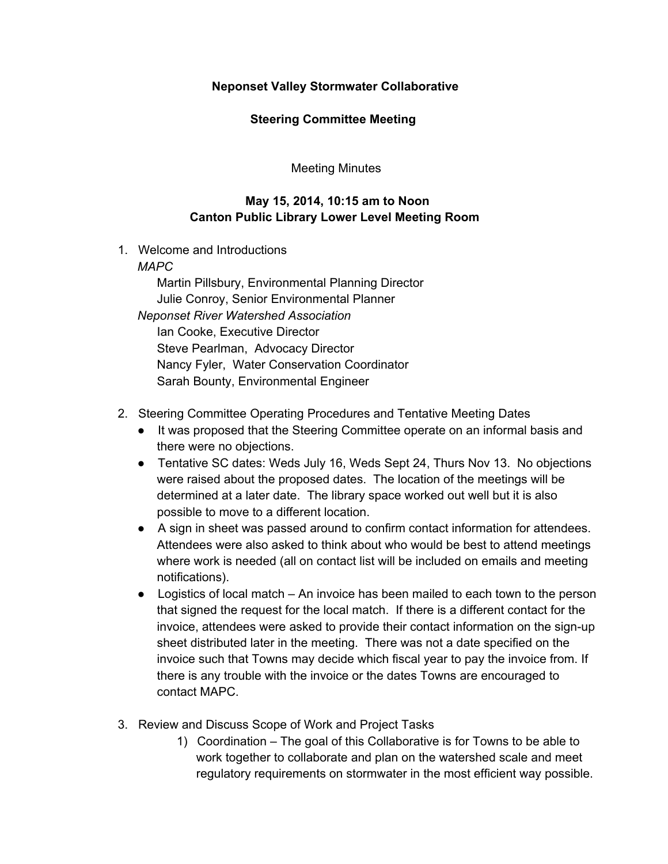## **Neponset Valley Stormwater Collaborative**

### **Steering Committee Meeting**

Meeting Minutes

# **May 15, 2014, 10:15 am to Noon Canton Public Library Lower Level Meeting Room**

1. Welcome and Introductions

#### *MAPC*

Martin Pillsbury, Environmental Planning Director Julie Conroy, Senior Environmental Planner *Neponset River Watershed Association* Ian Cooke, Executive Director Steve Pearlman, Advocacy Director Nancy Fyler, Water Conservation Coordinator Sarah Bounty, Environmental Engineer

## 2. Steering Committee Operating Procedures and Tentative Meeting Dates

- It was proposed that the Steering Committee operate on an informal basis and there were no objections.
- Tentative SC dates: Weds July 16, Weds Sept 24, Thurs Nov 13. No objections were raised about the proposed dates. The location of the meetings will be determined at a later date. The library space worked out well but it is also possible to move to a different location.
- A sign in sheet was passed around to confirm contact information for attendees. Attendees were also asked to think about who would be best to attend meetings where work is needed (all on contact list will be included on emails and meeting notifications).
- Logistics of local match An invoice has been mailed to each town to the person that signed the request for the local match. If there is a different contact for the invoice, attendees were asked to provide their contact information on the sign-up sheet distributed later in the meeting. There was not a date specified on the invoice such that Towns may decide which fiscal year to pay the invoice from. If there is any trouble with the invoice or the dates Towns are encouraged to contact MAPC.
- 3. Review and Discuss Scope of Work and Project Tasks
	- 1) Coordination The goal of this Collaborative is for Towns to be able to work together to collaborate and plan on the watershed scale and meet regulatory requirements on stormwater in the most efficient way possible.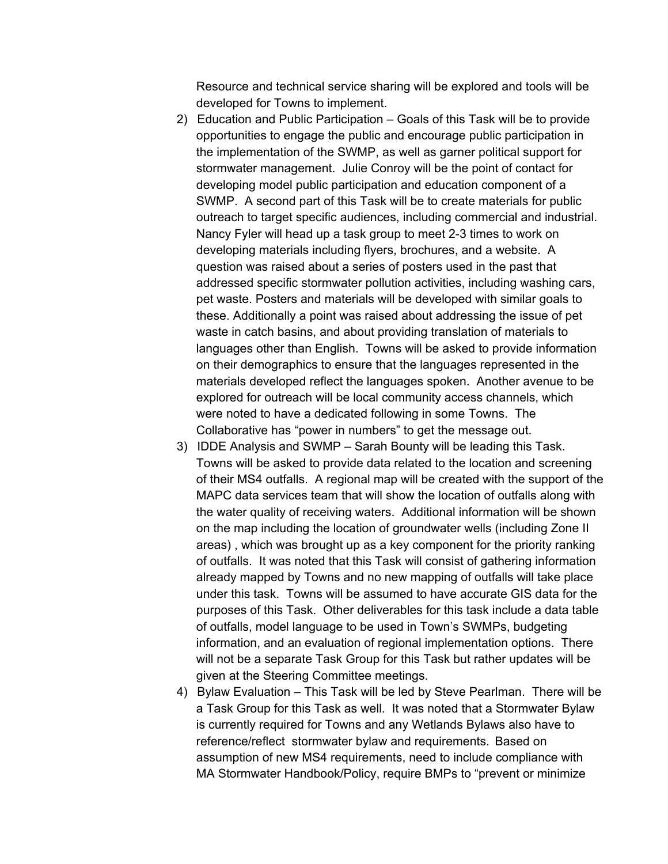Resource and technical service sharing will be explored and tools will be developed for Towns to implement.

- 2) Education and Public Participation Goals of this Task will be to provide opportunities to engage the public and encourage public participation in the implementation of the SWMP, as well as garner political support for stormwater management. Julie Conroy will be the point of contact for developing model public participation and education component of a SWMP. A second part of this Task will be to create materials for public outreach to target specific audiences, including commercial and industrial. Nancy Fyler will head up a task group to meet 2-3 times to work on developing materials including flyers, brochures, and a website. A question was raised about a series of posters used in the past that addressed specific stormwater pollution activities, including washing cars, pet waste. Posters and materials will be developed with similar goals to these. Additionally a point was raised about addressing the issue of pet waste in catch basins, and about providing translation of materials to languages other than English. Towns will be asked to provide information on their demographics to ensure that the languages represented in the materials developed reflect the languages spoken. Another avenue to be explored for outreach will be local community access channels, which were noted to have a dedicated following in some Towns. The Collaborative has "power in numbers" to get the message out.
- 3) IDDE Analysis and SWMP Sarah Bounty will be leading this Task. Towns will be asked to provide data related to the location and screening of their MS4 outfalls. A regional map will be created with the support of the MAPC data services team that will show the location of outfalls along with the water quality of receiving waters. Additional information will be shown on the map including the location of groundwater wells (including Zone II areas) , which was brought up as a key component for the priority ranking of outfalls. It was noted that this Task will consist of gathering information already mapped by Towns and no new mapping of outfalls will take place under this task. Towns will be assumed to have accurate GIS data for the purposes of this Task. Other deliverables for this task include a data table of outfalls, model language to be used in Town's SWMPs, budgeting information, and an evaluation of regional implementation options. There will not be a separate Task Group for this Task but rather updates will be given at the Steering Committee meetings.
- 4) Bylaw Evaluation This Task will be led by Steve Pearlman. There will be a Task Group for this Task as well. It was noted that a Stormwater Bylaw is currently required for Towns and any Wetlands Bylaws also have to reference/reflect stormwater bylaw and requirements. Based on assumption of new MS4 requirements, need to include compliance with MA Stormwater Handbook/Policy, require BMPs to "prevent or minimize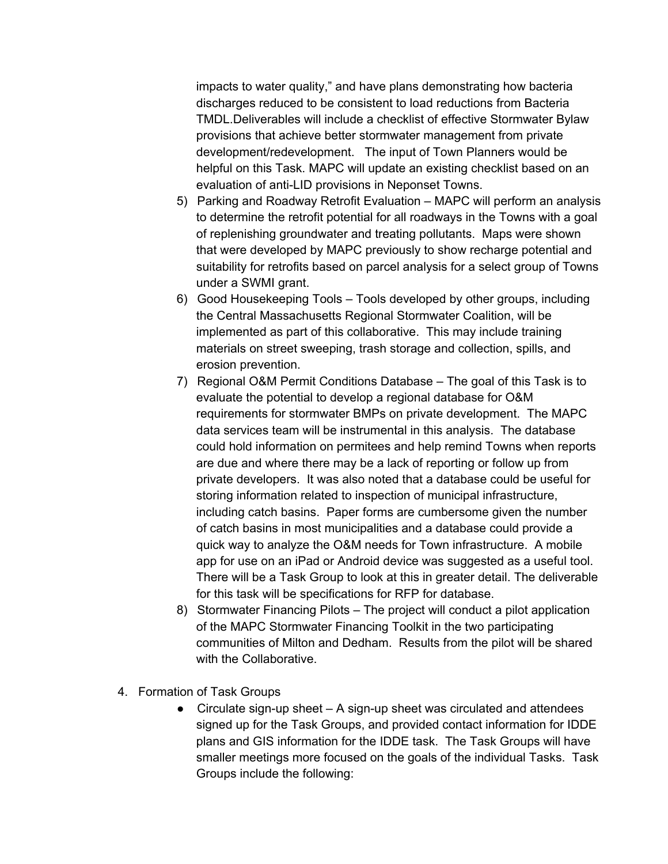impacts to water quality," and have plans demonstrating how bacteria discharges reduced to be consistent to load reductions from Bacteria TMDL.Deliverables will include a checklist of effective Stormwater Bylaw provisions that achieve better stormwater management from private development/redevelopment. The input of Town Planners would be helpful on this Task. MAPC will update an existing checklist based on an evaluation of anti-LID provisions in Neponset Towns.

- 5) Parking and Roadway Retrofit Evaluation MAPC will perform an analysis to determine the retrofit potential for all roadways in the Towns with a goal of replenishing groundwater and treating pollutants. Maps were shown that were developed by MAPC previously to show recharge potential and suitability for retrofits based on parcel analysis for a select group of Towns under a SWMI grant.
- 6) Good Housekeeping Tools Tools developed by other groups, including the Central Massachusetts Regional Stormwater Coalition, will be implemented as part of this collaborative. This may include training materials on street sweeping, trash storage and collection, spills, and erosion prevention.
- 7) Regional O&M Permit Conditions Database The goal of this Task is to evaluate the potential to develop a regional database for O&M requirements for stormwater BMPs on private development. The MAPC data services team will be instrumental in this analysis. The database could hold information on permitees and help remind Towns when reports are due and where there may be a lack of reporting or follow up from private developers. It was also noted that a database could be useful for storing information related to inspection of municipal infrastructure, including catch basins. Paper forms are cumbersome given the number of catch basins in most municipalities and a database could provide a quick way to analyze the O&M needs for Town infrastructure. A mobile app for use on an iPad or Android device was suggested as a useful tool. There will be a Task Group to look at this in greater detail. The deliverable for this task will be specifications for RFP for database.
- 8) Stormwater Financing Pilots The project will conduct a pilot application of the MAPC Stormwater Financing Toolkit in the two participating communities of Milton and Dedham. Results from the pilot will be shared with the Collaborative.
- 4. Formation of Task Groups
	- $\bullet$  Circulate sign-up sheet A sign-up sheet was circulated and attendees signed up for the Task Groups, and provided contact information for IDDE plans and GIS information for the IDDE task. The Task Groups will have smaller meetings more focused on the goals of the individual Tasks. Task Groups include the following: